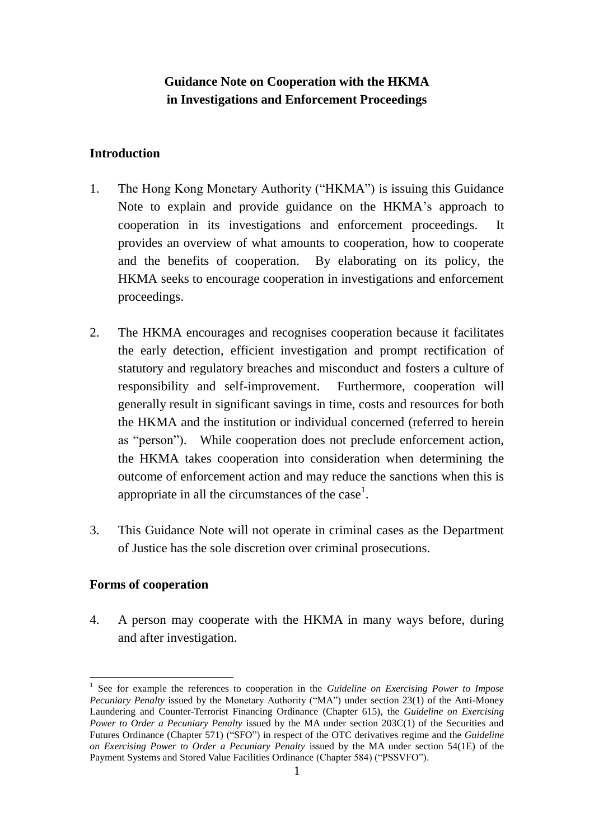# **Guidance Note on Cooperation with the HKMA in Investigations and Enforcement Proceedings**

### **Introduction**

- 1. The Hong Kong Monetary Authority ("HKMA") is issuing this Guidance Note to explain and provide guidance on the HKMA's approach to cooperation in its investigations and enforcement proceedings. It provides an overview of what amounts to cooperation, how to cooperate and the benefits of cooperation. By elaborating on its policy, the HKMA seeks to encourage cooperation in investigations and enforcement proceedings.
- 2. The HKMA encourages and recognises cooperation because it facilitates the early detection, efficient investigation and prompt rectification of statutory and regulatory breaches and misconduct and fosters a culture of responsibility and self-improvement. Furthermore, cooperation will generally result in significant savings in time, costs and resources for both the HKMA and the institution or individual concerned (referred to herein as "person"). While cooperation does not preclude enforcement action, the HKMA takes cooperation into consideration when determining the outcome of enforcement action and may reduce the sanctions when this is appropriate in all the circumstances of the case<sup>1</sup>.
- 3. This Guidance Note will not operate in criminal cases as the Department of Justice has the sole discretion over criminal prosecutions.

### **Forms of cooperation**

4. A person may cooperate with the HKMA in many ways before, during and after investigation.

<sup>1</sup> <sup>1</sup> See for example the references to cooperation in the *Guideline on Exercising Power to Impose Pecuniary Penalty* issued by the Monetary Authority ("MA") under section 23(1) of the Anti-Money Laundering and Counter-Terrorist Financing Ordinance (Chapter 615), the *Guideline on Exercising Power to Order a Pecuniary Penalty* issued by the MA under section 203C(1) of the Securities and Futures Ordinance (Chapter 571) ("SFO") in respect of the OTC derivatives regime and the *Guideline on Exercising Power to Order a Pecuniary Penalty* issued by the MA under section 54(1E) of the Payment Systems and Stored Value Facilities Ordinance (Chapter 584) ("PSSVFO").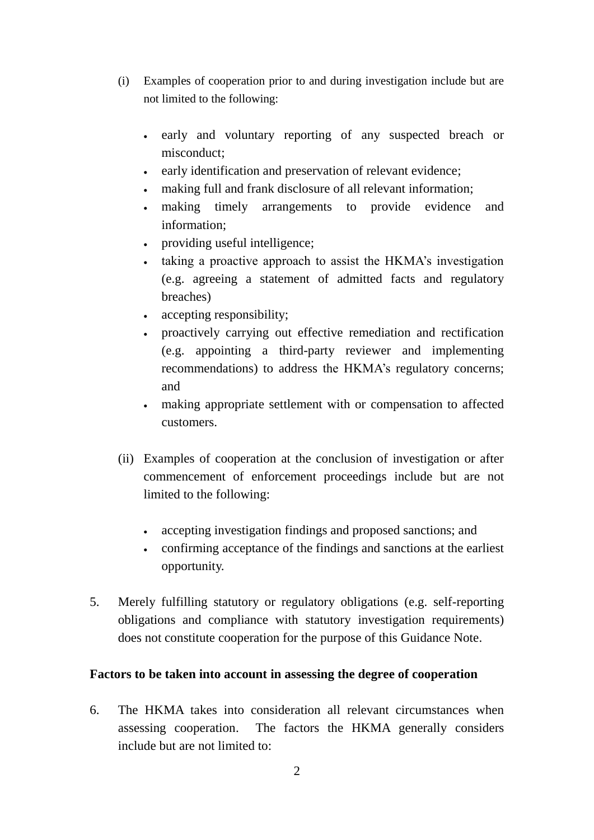- (i) Examples of cooperation prior to and during investigation include but are not limited to the following:
	- early and voluntary reporting of any suspected breach or misconduct;
	- early identification and preservation of relevant evidence;
	- making full and frank disclosure of all relevant information;
	- making timely arrangements to provide evidence and information;
	- providing useful intelligence;
	- taking a proactive approach to assist the HKMA's investigation (e.g. agreeing a statement of admitted facts and regulatory breaches)
	- accepting responsibility;
	- proactively carrying out effective remediation and rectification (e.g. appointing a third-party reviewer and implementing recommendations) to address the HKMA's regulatory concerns; and
	- making appropriate settlement with or compensation to affected customers.
- (ii) Examples of cooperation at the conclusion of investigation or after commencement of enforcement proceedings include but are not limited to the following:
	- accepting investigation findings and proposed sanctions; and
	- confirming acceptance of the findings and sanctions at the earliest opportunity.
- 5. Merely fulfilling statutory or regulatory obligations (e.g. self-reporting obligations and compliance with statutory investigation requirements) does not constitute cooperation for the purpose of this Guidance Note.

### **Factors to be taken into account in assessing the degree of cooperation**

6. The HKMA takes into consideration all relevant circumstances when assessing cooperation. The factors the HKMA generally considers include but are not limited to: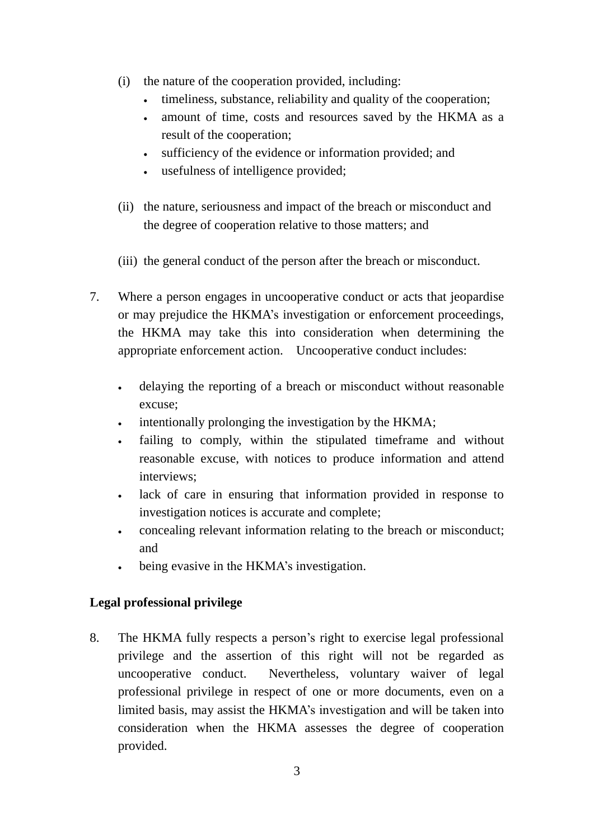- (i) the nature of the cooperation provided, including:
	- timeliness, substance, reliability and quality of the cooperation;
	- amount of time, costs and resources saved by the HKMA as a result of the cooperation;
	- sufficiency of the evidence or information provided; and
	- usefulness of intelligence provided;
- (ii) the nature, seriousness and impact of the breach or misconduct and the degree of cooperation relative to those matters; and
- (iii) the general conduct of the person after the breach or misconduct.
- 7. Where a person engages in uncooperative conduct or acts that jeopardise or may prejudice the HKMA's investigation or enforcement proceedings, the HKMA may take this into consideration when determining the appropriate enforcement action. Uncooperative conduct includes:
	- delaying the reporting of a breach or misconduct without reasonable excuse;
	- intentionally prolonging the investigation by the HKMA;
	- failing to comply, within the stipulated timeframe and without reasonable excuse, with notices to produce information and attend interviews;
	- lack of care in ensuring that information provided in response to investigation notices is accurate and complete;
	- concealing relevant information relating to the breach or misconduct; and
	- being evasive in the HKMA's investigation.

### **Legal professional privilege**

8. The HKMA fully respects a person's right to exercise legal professional privilege and the assertion of this right will not be regarded as uncooperative conduct. Nevertheless, voluntary waiver of legal professional privilege in respect of one or more documents, even on a limited basis, may assist the HKMA's investigation and will be taken into consideration when the HKMA assesses the degree of cooperation provided.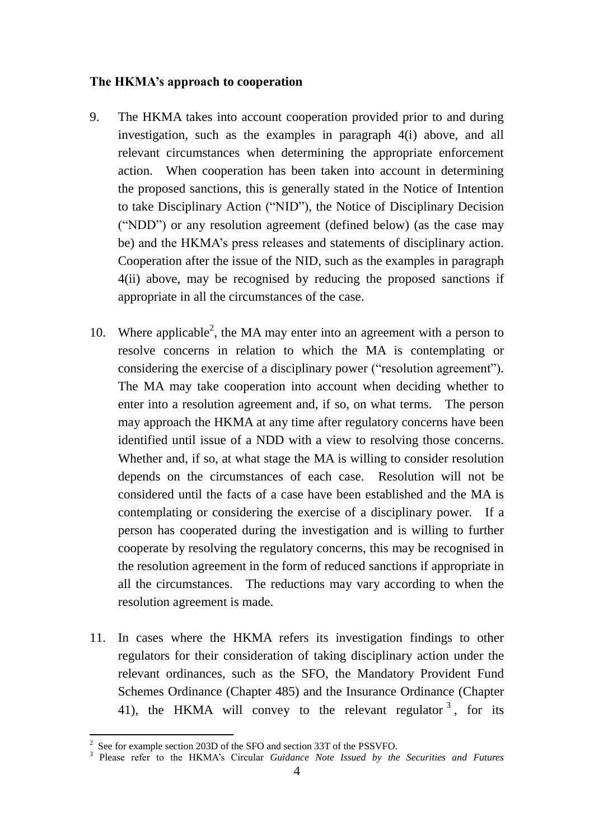#### **The HKMA's approach to cooperation**

- 9. The HKMA takes into account cooperation provided prior to and during investigation, such as the examples in paragraph 4(i) above, and all relevant circumstances when determining the appropriate enforcement action. When cooperation has been taken into account in determining the proposed sanctions, this is generally stated in the Notice of Intention to take Disciplinary Action ("NID"), the Notice of Disciplinary Decision ("NDD") or any resolution agreement (defined below) (as the case may be) and the HKMA's press releases and statements of disciplinary action. Cooperation after the issue of the NID, such as the examples in paragraph 4(ii) above, may be recognised by reducing the proposed sanctions if appropriate in all the circumstances of the case.
- 10. Where applicable<sup>2</sup>, the MA may enter into an agreement with a person to resolve concerns in relation to which the MA is contemplating or considering the exercise of a disciplinary power ("resolution agreement"). The MA may take cooperation into account when deciding whether to enter into a resolution agreement and, if so, on what terms. The person may approach the HKMA at any time after regulatory concerns have been identified until issue of a NDD with a view to resolving those concerns. Whether and, if so, at what stage the MA is willing to consider resolution depends on the circumstances of each case. Resolution will not be considered until the facts of a case have been established and the MA is contemplating or considering the exercise of a disciplinary power. If a person has cooperated during the investigation and is willing to further cooperate by resolving the regulatory concerns, this may be recognised in the resolution agreement in the form of reduced sanctions if appropriate in all the circumstances. The reductions may vary according to when the resolution agreement is made.
- 11. In cases where the HKMA refers its investigation findings to other regulators for their consideration of taking disciplinary action under the relevant ordinances, such as the SFO, the Mandatory Provident Fund Schemes Ordinance (Chapter 485) and the Insurance Ordinance (Chapter 41), the HKMA will convey to the relevant regulator  $3$ , for its

-

<sup>2</sup> See for example section 203D of the SFO and section 33T of the PSSVFO.

<sup>&</sup>lt;sup>3</sup> Please refer to the HKMA's Circular *Guidance Note Issued by the Securities and Futures*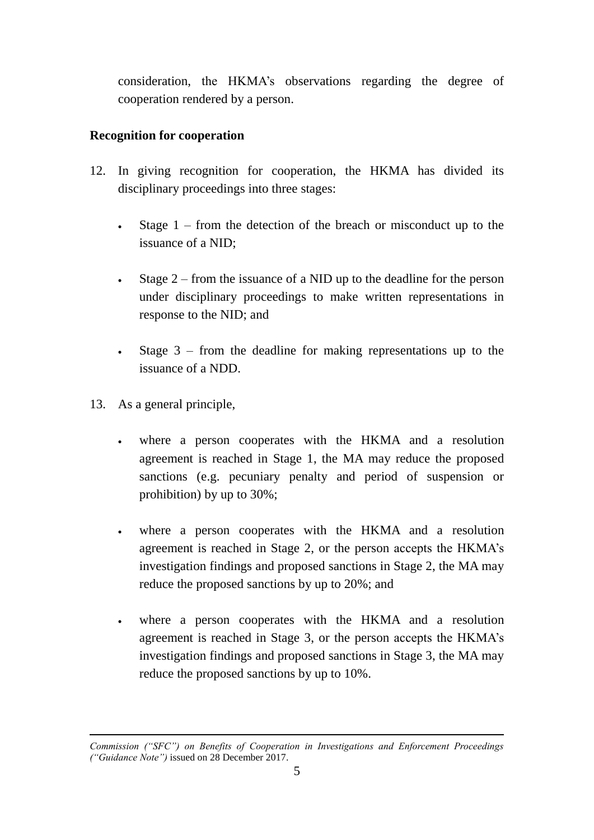consideration, the HKMA's observations regarding the degree of cooperation rendered by a person.

## **Recognition for cooperation**

- 12. In giving recognition for cooperation, the HKMA has divided its disciplinary proceedings into three stages:
	- Stage 1 from the detection of the breach or misconduct up to the issuance of a NID;
	- Stage  $2$  from the issuance of a NID up to the deadline for the person under disciplinary proceedings to make written representations in response to the NID; and
	- Stage 3 from the deadline for making representations up to the issuance of a NDD.
- 13. As a general principle,
	- where a person cooperates with the HKMA and a resolution agreement is reached in Stage 1, the MA may reduce the proposed sanctions (e.g. pecuniary penalty and period of suspension or prohibition) by up to 30%;
	- where a person cooperates with the HKMA and a resolution agreement is reached in Stage 2, or the person accepts the HKMA's investigation findings and proposed sanctions in Stage 2, the MA may reduce the proposed sanctions by up to 20%; and
	- where a person cooperates with the HKMA and a resolution agreement is reached in Stage 3, or the person accepts the HKMA's investigation findings and proposed sanctions in Stage 3, the MA may reduce the proposed sanctions by up to 10%.

<sup>-</sup>*Commission ("SFC") on Benefits of Cooperation in Investigations and Enforcement Proceedings ("Guidance Note")* issued on 28 December 2017.